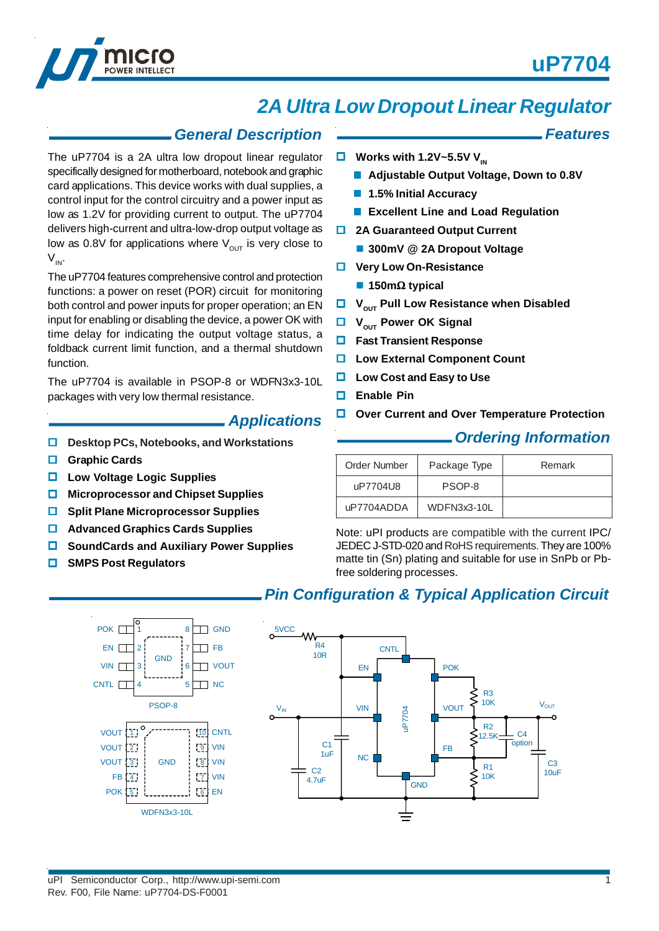*Features*



# *2A Ultra Low Dropout Linear Regulator*

### *General Description*

The uP7704 is a 2A ultra low dropout linear regulator specifically designed for motherboard, notebook and graphic card applications. This device works with dual supplies, a control input for the control circuitry and a power input as low as 1.2V for providing current to output. The uP7704 delivers high-current and ultra-low-drop output voltage as low as 0.8V for applications where  $V_{\text{out}}$  is very close to  $V_{IN}$ .

The uP7704 features comprehensive control and protection functions: a power on reset (POR) circuit for monitoring both control and power inputs for proper operation; an EN input for enabling or disabling the device, a power OK with time delay for indicating the output voltage status, a foldback current limit function, and a thermal shutdown function.

The uP7704 is available in PSOP-8 or WDFN3x3-10L packages with very low thermal resistance.

### *Applications*

- **Desktop PCs, Notebooks, and Workstations**
- **Graphic Cards**
- **Low Voltage Logic Supplies**
- **Microprocessor and Chipset Supplies**
- $\Box$  Split Plane Microprocessor Supplies
- **Advanced Graphics Cards Supplies**

1 2 3

- **SoundCards and Auxiliary Power Supplies**
- **SMPS Post Regulators**

VIN<sub>I</sub> CNTL <sup>T</sup>

> VOUT VOUT VOUT 3 FB

1 2

 $\overline{4}$ 

### $\Box$  Works with 1.2V~5.5V V<sub>IN</sub>

- Adjustable Output Voltage, Down to 0.8V
- **1.5% Initial Accuracy**
- **Excellent Line and Load Regulation**
- **2A Guaranteed Output Current** 
	- **300mV @ 2A Dropout Voltage**
- $\Box$  Very Low On-Resistance
	- **150m**Ω **typical**
- **U** V<sub>OUT</sub> Pull Low Resistance when Disabled
- **U** V<sub>OUT</sub> Power OK Signal
- **Fast Transient Response**
- **Low External Component Count**
- **Low Cost and Easy to Use**
- **Enable Pin**
- **Over Current and Over Temperature Protection**

### *Ordering Information*

| Order Number | Package Type | Remark |
|--------------|--------------|--------|
| uP7704U8     | PSOP-8       |        |
| uP7704ADDA   | WDFN3x3-10L  |        |

Note: uPI products are compatible with the current IPC/ JEDEC J-STD-020 and RoHS requirements. They are 100% matte tin (Sn) plating and suitable for use in SnPb or Pbfree soldering processes.

### *Pin Configuration & Typical Application Circuit*

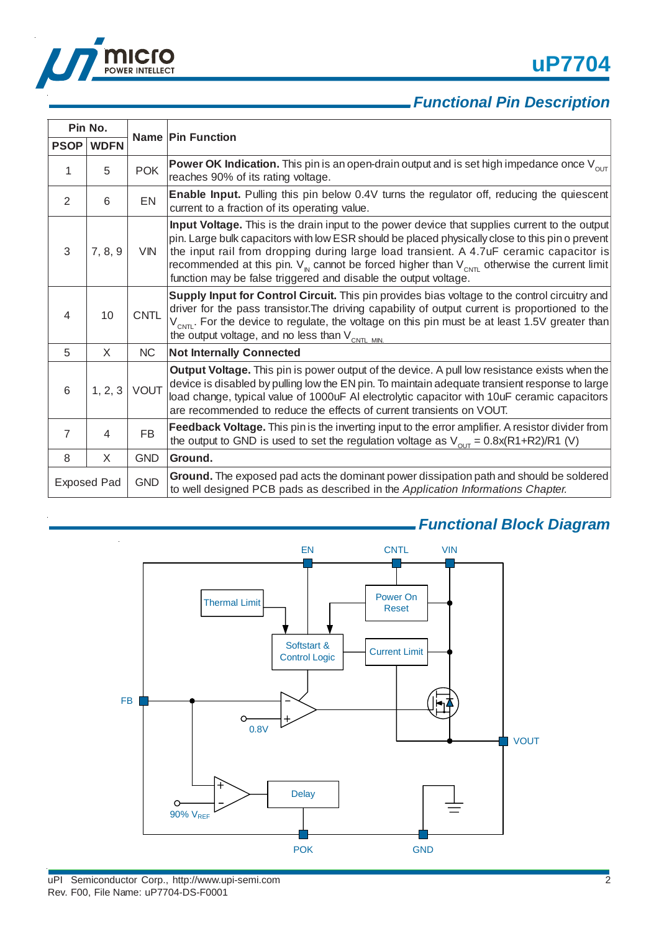



# *Functional Pin Description*

| Pin No.            |             |             |                                                                                                                                                                                                                                                                                                                                                                                                                                                                                     |  |  |
|--------------------|-------------|-------------|-------------------------------------------------------------------------------------------------------------------------------------------------------------------------------------------------------------------------------------------------------------------------------------------------------------------------------------------------------------------------------------------------------------------------------------------------------------------------------------|--|--|
| <b>PSOP</b>        | <b>WDFN</b> |             | <b>Name Pin Function</b>                                                                                                                                                                                                                                                                                                                                                                                                                                                            |  |  |
| 1                  | 5           | <b>POK</b>  | <b>Power OK Indication.</b> This pin is an open-drain output and is set high impedance once $V_{\text{out}}$<br>reaches 90% of its rating voltage.                                                                                                                                                                                                                                                                                                                                  |  |  |
| $\overline{2}$     | 6           | <b>EN</b>   | <b>Enable Input.</b> Pulling this pin below 0.4V turns the regulator off, reducing the quiescent<br>current to a fraction of its operating value.                                                                                                                                                                                                                                                                                                                                   |  |  |
| 3                  | 7, 8, 9     | <b>VIN</b>  | Input Voltage. This is the drain input to the power device that supplies current to the output<br>pin. Large bulk capacitors with low ESR should be placed physically close to this pin o prevent<br>the input rail from dropping during large load transient. A 4.7uF ceramic capacitor is<br>recommended at this pin. $V_{\text{N}}$ cannot be forced higher than $V_{\text{CNT}}$ otherwise the current limit<br>function may be false triggered and disable the output voltage. |  |  |
| 4                  | 10          | <b>CNTL</b> | Supply Input for Control Circuit. This pin provides bias voltage to the control circuitry and<br>driver for the pass transistor. The driving capability of output current is proportioned to the<br>$V_{CNT}$ . For the device to regulate, the voltage on this pin must be at least 1.5V greater than<br>the output voltage, and no less than $V_{CNTL MIN}$                                                                                                                       |  |  |
| 5                  | X           | <b>NC</b>   | <b>Not Internally Connected</b>                                                                                                                                                                                                                                                                                                                                                                                                                                                     |  |  |
| 6                  | 1, 2, 3     | <b>VOUT</b> | <b>Output Voltage.</b> This pin is power output of the device. A pull low resistance exists when the<br>device is disabled by pulling low the EN pin. To maintain adequate transient response to large<br>load change, typical value of 1000uF AI electrolytic capacitor with 10uF ceramic capacitors<br>are recommended to reduce the effects of current transients on VOUT.                                                                                                       |  |  |
| $\overline{7}$     | 4           | <b>FB</b>   | Feedback Voltage. This pin is the inverting input to the error amplifier. A resistor divider from<br>the output to GND is used to set the regulation voltage as $V_{\text{out}} = 0.8x(R1 + R2)/R1$ (V)                                                                                                                                                                                                                                                                             |  |  |
| 8                  | X           | <b>GND</b>  | Ground.                                                                                                                                                                                                                                                                                                                                                                                                                                                                             |  |  |
| <b>Exposed Pad</b> |             | <b>GND</b>  | Ground. The exposed pad acts the dominant power dissipation path and should be soldered<br>to well designed PCB pads as described in the Application Informations Chapter.                                                                                                                                                                                                                                                                                                          |  |  |



## *Functional Block Diagram*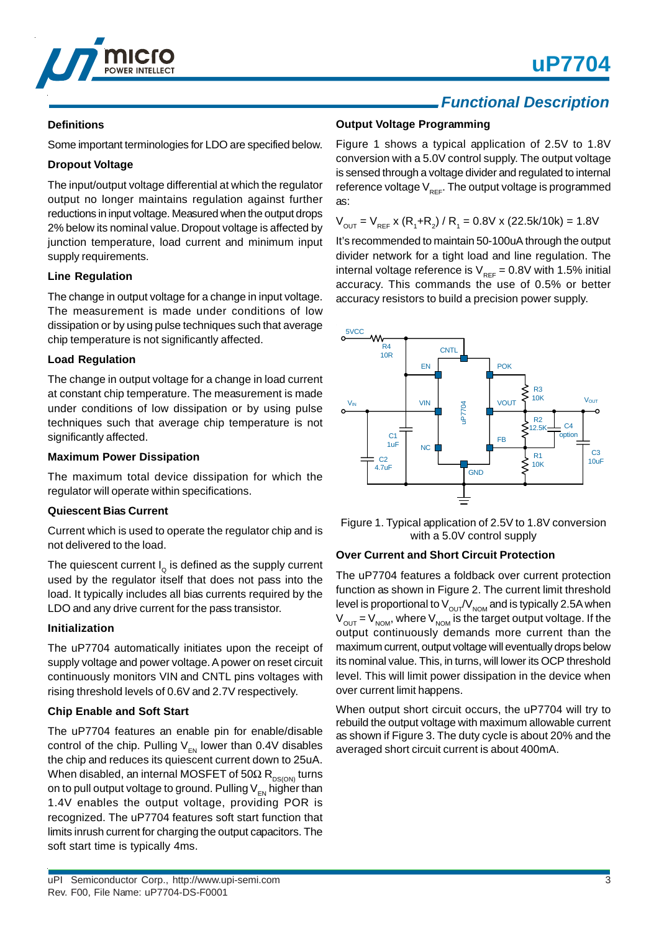



### **Definitions**

Some important terminologies for LDO are specified below.

### **Dropout Voltage**

The input/output voltage differential at which the regulator output no longer maintains regulation against further reductions in input voltage. Measured when the output drops 2% below its nominal value. Dropout voltage is affected by junction temperature, load current and minimum input supply requirements.

### **Line Regulation**

The change in output voltage for a change in input voltage. The measurement is made under conditions of low dissipation or by using pulse techniques such that average chip temperature is not significantly affected.

### **Load Regulation**

The change in output voltage for a change in load current at constant chip temperature. The measurement is made under conditions of low dissipation or by using pulse techniques such that average chip temperature is not significantly affected.

### **Maximum Power Dissipation**

The maximum total device dissipation for which the regulator will operate within specifications.

#### **Quiescent Bias Current**

Current which is used to operate the regulator chip and is not delivered to the load.

The quiescent current  $I_0$  is defined as the supply current used by the regulator itself that does not pass into the load. It typically includes all bias currents required by the LDO and any drive current for the pass transistor.

### **Initialization**

The uP7704 automatically initiates upon the receipt of supply voltage and power voltage. A power on reset circuit continuously monitors VIN and CNTL pins voltages with rising threshold levels of 0.6V and 2.7V respectively.

### **Chip Enable and Soft Start**

The uP7704 features an enable pin for enable/disable control of the chip. Pulling  $V_{FN}$  lower than 0.4V disables the chip and reduces its quiescent current down to 25uA. When disabled, an internal MOSFET of 50 $\Omega$  R<sub>DS(ON)</sub> turns on to pull output voltage to ground. Pulling  $V_{FN}$  higher than 1.4V enables the output voltage, providing POR is recognized. The uP7704 features soft start function that limits inrush current for charging the output capacitors. The soft start time is typically 4ms.

# *Functional Description*

### **Output Voltage Programming**

Figure 1 shows a typical application of 2.5V to 1.8V conversion with a 5.0V control supply. The output voltage is sensed through a voltage divider and regulated to internal reference voltage  $V_{\text{per}}$ . The output voltage is programmed as:

 $V_{\text{OUT}} = V_{\text{REF}}$  x (R<sub>1</sub>+R<sub>2</sub>) / R<sub>1</sub> = 0.8V x (22.5k/10k) = 1.8V

It's recommended to maintain 50-100uA through the output divider network for a tight load and line regulation. The internal voltage reference is  $V_{REF} = 0.8V$  with 1.5% initial accuracy. This commands the use of 0.5% or better accuracy resistors to build a precision power supply.



Figure 1. Typical application of 2.5V to 1.8V conversion with a 5.0V control supply

### **Over Current and Short Circuit Protection**

The uP7704 features a foldback over current protection function as shown in Figure 2. The current limit threshold level is proportional to  $V_{\text{out}}/V_{\text{nom}}$  and is typically 2.5A when  $V_{\text{OUT}} = V_{\text{NOM}}$ , where  $V_{\text{NOM}}$  is the target output voltage. If the output continuously demands more current than the maximum current, output voltage will eventually drops below its nominal value. This, in turns, will lower its OCP threshold level. This will limit power dissipation in the device when over current limit happens.

When output short circuit occurs, the uP7704 will try to rebuild the output voltage with maximum allowable current as shown if Figure 3. The duty cycle is about 20% and the averaged short circuit current is about 400mA.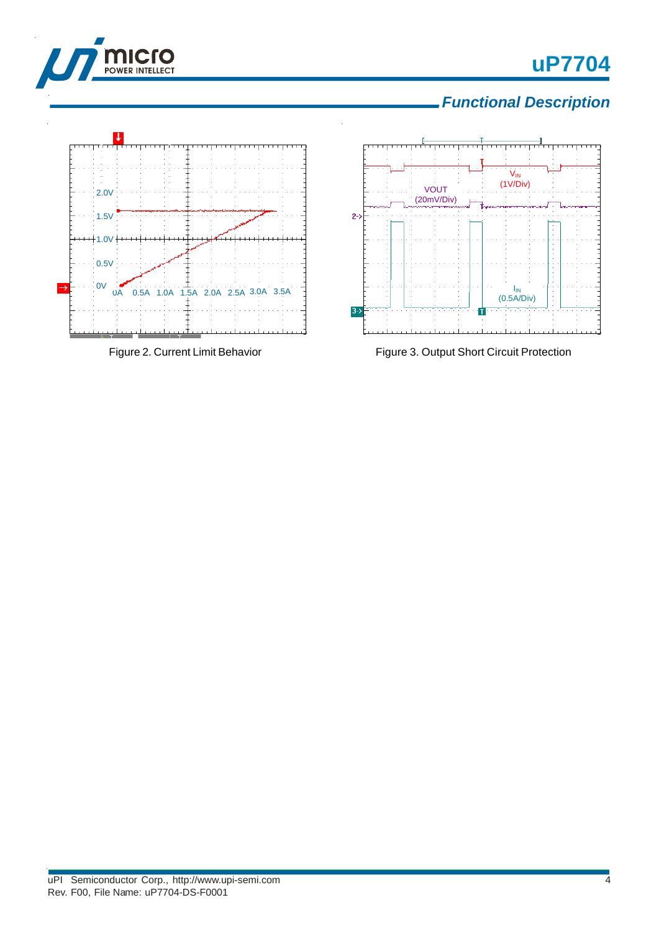# **uP7704**



*Functional Description*



Figure 2. Current Limit Behavior



Figure 3. Output Short Circuit Protection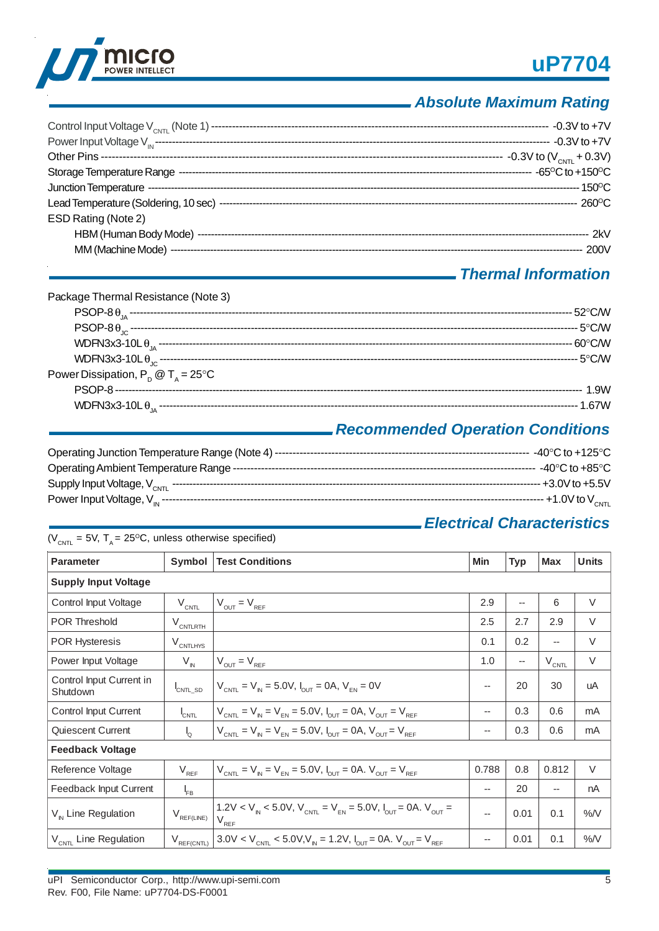



# *Absolute Maximum Rating*

| ESD Rating (Note 2) |  |
|---------------------|--|
|                     |  |
|                     |  |
|                     |  |

# *Thermal Information*

# *Recommended Operation Conditions*

## *Electrical Characteristics*

| $(V_{\text{CNTI}} = 5V, T_{\text{A}} = 25^{\circ}\text{C},$ unless otherwise specified) |                      |                                                                                                                                            |                          |                          |            |              |  |
|-----------------------------------------------------------------------------------------|----------------------|--------------------------------------------------------------------------------------------------------------------------------------------|--------------------------|--------------------------|------------|--------------|--|
| <b>Parameter</b>                                                                        | Symbol               | <b>Test Conditions</b>                                                                                                                     | Min                      | <b>Typ</b>               | <b>Max</b> | <b>Units</b> |  |
| <b>Supply Input Voltage</b>                                                             |                      |                                                                                                                                            |                          |                          |            |              |  |
| Control Input Voltage                                                                   | $V_{\text{CNTL}}$    | $V_{\text{OUT}} = V_{\text{REF}}$                                                                                                          | 2.9                      | $\overline{\phantom{a}}$ | 6          | V            |  |
| <b>POR Threshold</b>                                                                    | $V_{\text{CNTLRTH}}$ |                                                                                                                                            | 2.5                      | 2.7                      | 2.9        | V            |  |
| <b>POR Hysteresis</b>                                                                   | $V_{\text{CNTLHYS}}$ |                                                                                                                                            | 0.1                      | 0.2                      | --         | V            |  |
| Power Input Voltage                                                                     | $V_{\text{IN}}$      | $V_{OUT} = V_{REF}$                                                                                                                        | 1.0                      | $\overline{\phantom{a}}$ | $V_{CNTL}$ | $\vee$       |  |
| Control Input Current in<br>Shutdown                                                    | CNTL SD              | $V_{CNT} = V_{N} = 5.0V, I_{CUT} = 0A, V_{FN} = 0V$                                                                                        | $\overline{\phantom{m}}$ | 20                       | 30         | uA           |  |
| Control Input Current                                                                   | $I_{\text{CNTL}}$    | $V_{CNTL} = V_{IN} = V_{EN} = 5.0 V, I_{OUT} = 0 A, V_{OUT} = V_{REF}$                                                                     | $\overline{\phantom{a}}$ | 0.3                      | 0.6        | mA           |  |
| Quiescent Current                                                                       | 'o                   | $V_{CNTL} = V_{N} = V_{EN} = 5.0 V, I_{CUT} = 0 A, V_{CUT} = V_{REF}$                                                                      | $\overline{\phantom{m}}$ | 0.3                      | 0.6        | mA           |  |
| <b>Feedback Voltage</b>                                                                 |                      |                                                                                                                                            |                          |                          |            |              |  |
| Reference Voltage                                                                       | $V_{REF}$            | $V_{CNT} = V_{N} = V_{FN} = 5.0 V, I_{CUT} = 0 A. V_{CUT} = V_{REF}$                                                                       | 0.788                    | 0.8                      | 0.812      | V            |  |
| Feedback Input Current                                                                  | $I_{FB}$             |                                                                                                                                            | $\overline{\phantom{a}}$ | 20                       | --         | nA           |  |
| $V_{\text{N}}$ Line Regulation                                                          | $V_{REF(LINE)}$      | 1.2V < $V_{N}$ < 5.0V, $V_{CNT}$ = $V_{EN}$ = 5.0V, $I_{OUT}$ = 0A. $V_{OUT}$ =<br>$V_{RF}$                                                | $\overline{\phantom{a}}$ | 0.01                     | 0.1        | %N           |  |
| $V_{CNTL}$ Line Regulation                                                              | $V_{REF(CNTL)}$      | $3.0 \text{V} < V_{\text{CNTL}} < 5.0 \text{V}, V_{\text{N}} = 1.2 \text{V}, I_{\text{OUT}} = 0 \text{A}. V_{\text{OUT}} = V_{\text{REF}}$ | $\overline{\phantom{m}}$ | 0.01                     | 0.1        | $\%N$        |  |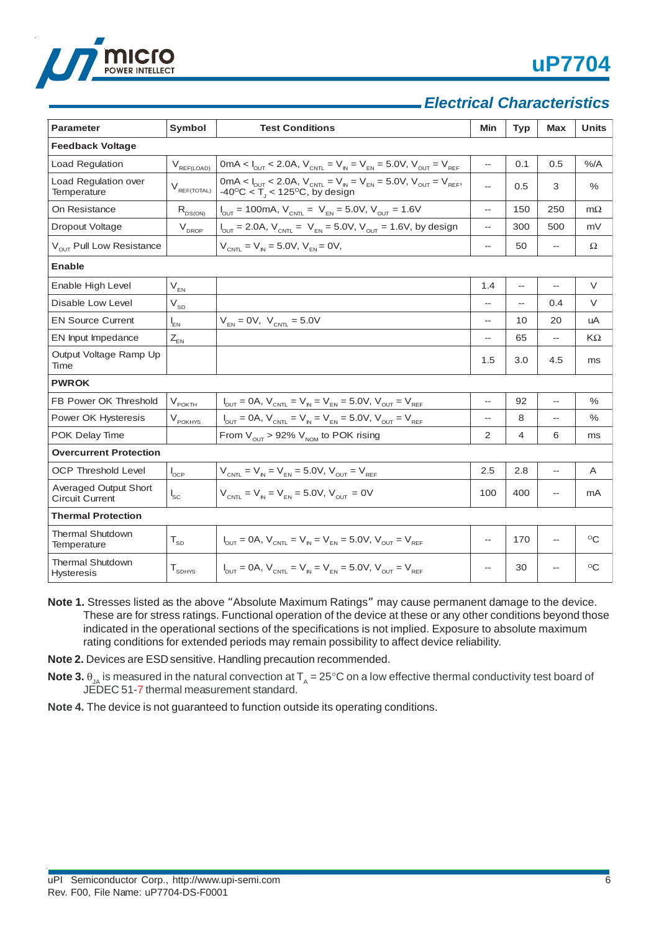

# *Electrical Characteristics*

| <b>Parameter</b>                                | Symbol                         | <b>Test Conditions</b>                                                                                                                                                | Min                      | <b>Typ</b>               | <b>Max</b>     | Units        |  |
|-------------------------------------------------|--------------------------------|-----------------------------------------------------------------------------------------------------------------------------------------------------------------------|--------------------------|--------------------------|----------------|--------------|--|
| <b>Feedback Voltage</b>                         |                                |                                                                                                                                                                       |                          |                          |                |              |  |
| Load Regulation                                 | $V_{REF(LOAD)}$                | 0mA < $I_{\text{out}}$ < 2.0A, $V_{\text{cent}} = V_{\text{in}} = V_{\text{en}} = 5.0 V$ , $V_{\text{out}} = V_{\text{ref}}$                                          | $\overline{\phantom{a}}$ | 0.1                      | 0.5            | %A           |  |
| Load Regulation over<br>Temperature             | $V_{\text{REF(TOTAL)}}$        | 0mA < $I_{\text{OUT}}$ < 2.0A, $V_{\text{CNT}} = V_{\text{N}} = V_{\text{EN}} = 5.0V$ , $V_{\text{OUT}} = V_{\text{REF}}$ , -40°C < T <sub>J</sub> < 125°C, by design | $\overline{\phantom{a}}$ | 0.5                      | 3              | $\%$         |  |
| On Resistance                                   | $R_{DS(ON)}$                   | $I_{\text{OUT}} = 100 \text{mA}, V_{\text{CNT}} = V_{\text{EN}} = 5.0 \text{V}, V_{\text{OUT}} = 1.6 \text{V}$                                                        | $\overline{\phantom{a}}$ | 150                      | 250            | $m\Omega$    |  |
| Dropout Voltage                                 | $V_{DROP}$                     | $I_{\text{OUT}} = 2.0$ A, V <sub>CNTL</sub> = V <sub>EN</sub> = 5.0V, V <sub>OUT</sub> = 1.6V, by design                                                              | --                       | 300                      | 500            | mV           |  |
| V <sub>OUT</sub> Pull Low Resistance            |                                | $V_{CNT} = V_{N} = 5.0 V, V_{FN} = 0 V,$                                                                                                                              | --                       | 50                       | --             | Ω            |  |
| Enable                                          |                                |                                                                                                                                                                       |                          |                          |                |              |  |
| Enable High Level                               | $V_{FN}$                       |                                                                                                                                                                       | 1.4                      | $\overline{\phantom{a}}$ | --             | V            |  |
| Disable Low Level                               | $V_{SD}$                       |                                                                                                                                                                       | Щ,                       | $\overline{\phantom{a}}$ | 0.4            | V            |  |
| <b>EN Source Current</b>                        | $I_{EN}$                       | $V_{EN} = 0V$ , $V_{CNTL} = 5.0V$                                                                                                                                     | $\overline{\phantom{a}}$ | 10                       | 20             | uA           |  |
| EN Input Impedance                              | $Z_{EN}$                       |                                                                                                                                                                       | Щ,                       | 65                       | −−             | $K\Omega$    |  |
| Output Voltage Ramp Up<br>Time                  |                                |                                                                                                                                                                       | 1.5                      | 3.0                      | 4.5            | ms           |  |
| <b>PWROK</b>                                    |                                |                                                                                                                                                                       |                          |                          |                |              |  |
| FB Power OK Threshold                           | $V_{\text{POKT}\underline{H}}$ | $I_{\text{OUT}} = 0A$ , $V_{\text{CNT}} = V_{\text{IN}} = V_{\text{EN}} = 5.0 V$ , $V_{\text{OUT}} = V_{\text{REF}}$                                                  | $\overline{a}$           | 92                       | $\overline{a}$ | $\%$         |  |
| Power OK Hysteresis                             | $V_{\rm pOKHYS}$               | $I_{\text{OUT}} = 0A$ , $V_{\text{CNT}} = V_{\text{IN}} = V_{\text{EN}} = 5.0V$ , $V_{\text{OUT}} = V_{\text{REF}}$                                                   | --                       | 8                        |                | $\%$         |  |
| POK Delay Time                                  |                                | From $V_{OUT}$ > 92% $V_{NOM}$ to POK rising                                                                                                                          | 2                        | 4                        | 6              | ms           |  |
| <b>Overcurrent Protection</b>                   |                                |                                                                                                                                                                       |                          |                          |                |              |  |
| <b>OCP Threshold Level</b>                      | $I_{OCP}$                      | $V_{CNTL} = V_{IN} = V_{EN} = 5.0 V, V_{OUT} = V_{REF}$                                                                                                               | 2.5                      | 2.8                      |                | Α            |  |
| Averaged Output Short<br><b>Circuit Current</b> | $\mathsf{l}_{\mathsf{sc}}$     | $V_{CNT} = V_{N} = V_{FN} = 5.0 V, V_{CUT} = 0 V$                                                                                                                     | 100                      | 400                      |                | mA           |  |
| <b>Thermal Protection</b>                       |                                |                                                                                                                                                                       |                          |                          |                |              |  |
| <b>Thermal Shutdown</b><br>Temperature          | $T_{SD}$                       | $V_{\text{OUT}} = 0A$ , $V_{\text{CNT}} = V_{\text{IN}} = V_{\text{EN}} = 5.0 V$ , $V_{\text{OUT}} = V_{\text{REF}}$                                                  | --                       | 170                      | --             | $^{\circ}$ C |  |
| <b>Thermal Shutdown</b><br><b>Hysteresis</b>    | ${\sf T}_{_{\sf SDHYS}}$       | $V_{\text{OUT}} = 0A$ , $V_{\text{CNT}} = V_{\text{IN}} = V_{\text{EN}} = 5.0 V$ , $V_{\text{OUT}} = V_{\text{REF}}$                                                  | $\overline{a}$           | 30                       |                | $^{\circ}C$  |  |

- **Note 1.** Stresses listed as the above "Absolute Maximum Ratings" may cause permanent damage to the device. These are for stress ratings. Functional operation of the device at these or any other conditions beyond those indicated in the operational sections of the specifications is not implied. Exposure to absolute maximum rating conditions for extended periods may remain possibility to affect device reliability.
- **Note 2.** Devices are ESD sensitive. Handling precaution recommended.
- **Note 3.**  $\theta_{JA}$  is measured in the natural convection at  $T_A = 25^\circ \text{C}$  on a low effective thermal conductivity test board of JEDEC 51-7 thermal measurement standard.
- **Note 4.** The device is not guaranteed to function outside its operating conditions.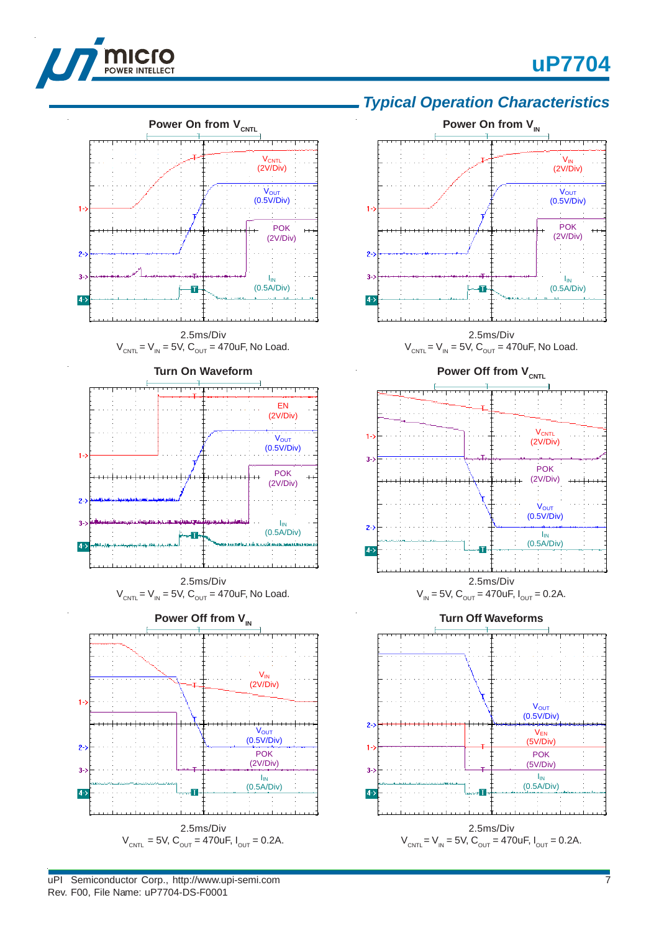

وتعبرون



*Typical Operation Characteristics*

**Power On from V<sub>IN</sub>** 



2.5ms/Div  $V_{CNTL} = 5V$ ,  $C_{OUT} = 470$ uF,  $I_{OUT} = 0.2A$ .

uPI Semiconductor Corp., http://www.upi-semi.com Rev. F00, File Name: uP7704-DS-F0001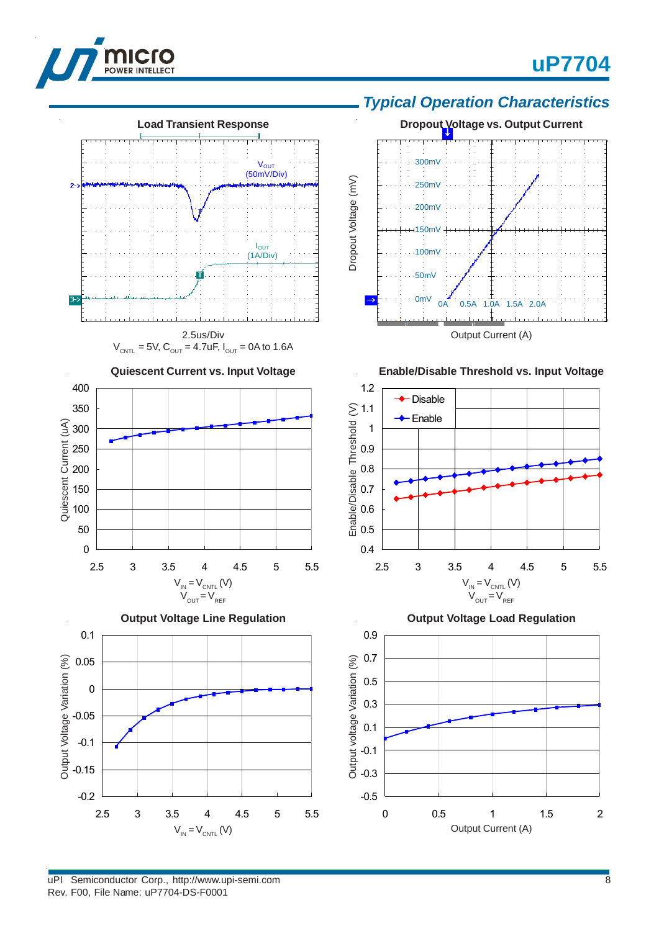

 $2 - 2$ 

 $3 - 3$ 

350 400

Quiescent Current (uA)

Output Voltage Variation (%)

# **uP7704**









2.5 3 3.5 4 4.5 5 5.5

 $V_{IN} = V_{CNTL} (V)$  $V_{OUT} = V_{REF}$ 

**Quiescent Current vs. Input Voltage**

2.5us/Div  $V_{CNTL} = 5V$ ,  $C_{OUT} = 4.7$ uF,  $I_{OUT} = 0$ A to 1.6A

**Load Transient Response**

V<sub>OUT</sub> (50mV/Div)

**I**<sub>OUT</sub> (1A/Div)

**Output Voltage Load Regulation**

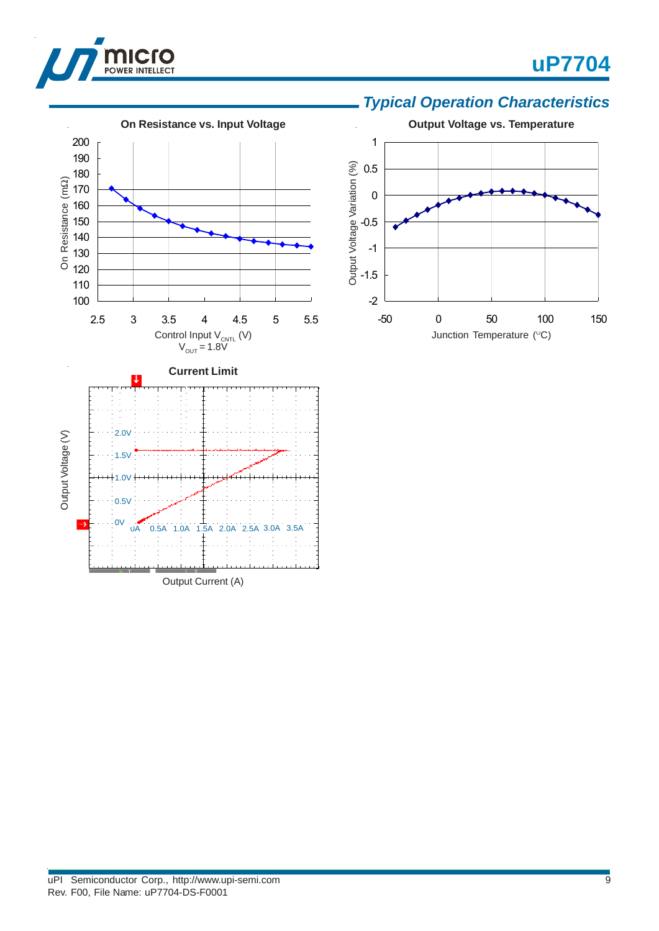

## *Typical Operation Characteristics*

**uP7704**



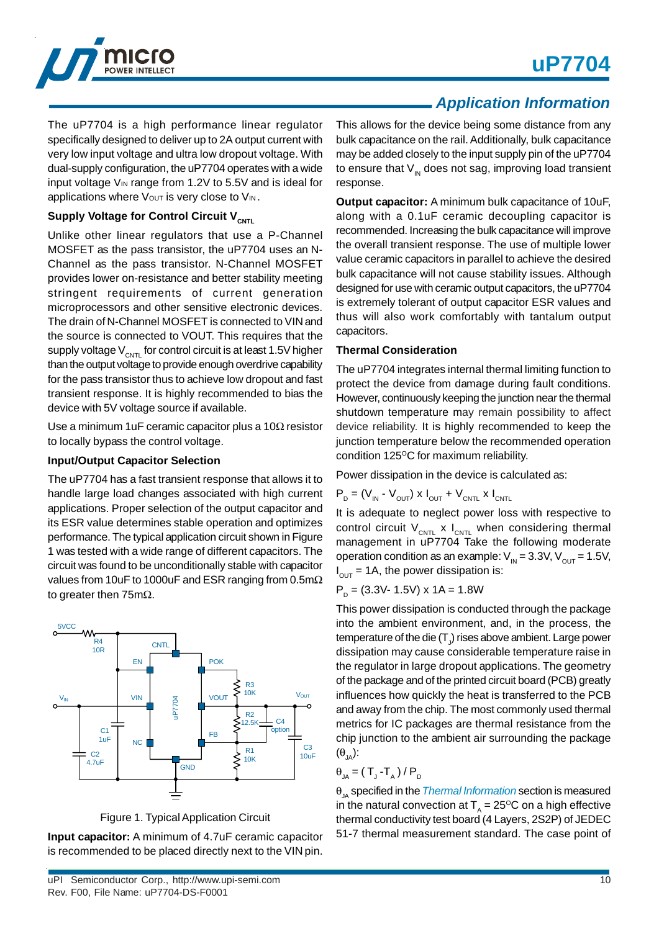

The uP7704 is a high performance linear regulator specifically designed to deliver up to 2A output current with very low input voltage and ultra low dropout voltage. With dual-supply configuration, the uP7704 operates with a wide input voltage  $V_{\text{IN}}$  range from 1.2V to 5.5V and is ideal for applications where Vout is very close to VIN.

### **Supply Voltage for Control Circuit V<sub>CNTL</sub>**

Unlike other linear regulators that use a P-Channel MOSFET as the pass transistor, the uP7704 uses an N-Channel as the pass transistor. N-Channel MOSFET provides lower on-resistance and better stability meeting stringent requirements of current generation microprocessors and other sensitive electronic devices. The drain of N-Channel MOSFET is connected to VIN and the source is connected to VOUT. This requires that the supply voltage  $V_{CNTL}$  for control circuit is at least 1.5V higher than the output voltage to provide enough overdrive capability for the pass transistor thus to achieve low dropout and fast transient response. It is highly recommended to bias the device with 5V voltage source if available.

Use a minimum 1uF ceramic capacitor plus a 10Ω resistor to locally bypass the control voltage.

### **Input/Output Capacitor Selection**

The uP7704 has a fast transient response that allows it to handle large load changes associated with high current applications. Proper selection of the output capacitor and its ESR value determines stable operation and optimizes performance. The typical application circuit shown in Figure 1 was tested with a wide range of different capacitors. The circuit was found to be unconditionally stable with capacitor values from 10uF to 1000uF and ESR ranging from 0.5mΩ to greater then 75mΩ.



Figure 1. Typical Application Circuit

**Input capacitor:** A minimum of 4.7uF ceramic capacitor is recommended to be placed directly next to the VIN pin.

# *Application Information*

This allows for the device being some distance from any bulk capacitance on the rail. Additionally, bulk capacitance may be added closely to the input supply pin of the uP7704 to ensure that  $V_{\text{IN}}$  does not sag, improving load transient response.

**Output capacitor:** A minimum bulk capacitance of 10uF, along with a 0.1uF ceramic decoupling capacitor is recommended. Increasing the bulk capacitance will improve the overall transient response. The use of multiple lower value ceramic capacitors in parallel to achieve the desired bulk capacitance will not cause stability issues. Although designed for use with ceramic output capacitors, the uP7704 is extremely tolerant of output capacitor ESR values and thus will also work comfortably with tantalum output capacitors.

### **Thermal Consideration**

The uP7704 integrates internal thermal limiting function to protect the device from damage during fault conditions. However, continuously keeping the junction near the thermal shutdown temperature may remain possibility to affect device reliability. It is highly recommended to keep the junction temperature below the recommended operation condition  $125^{\circ}$ C for maximum reliability.

Power dissipation in the device is calculated as:

$$
\mathsf{P}_{\mathrm{D}} = (\mathsf{V}_{\text{IN}} \text{ - } \mathsf{V}_{\text{OUT}}) \times \mathsf{I}_{\text{OUT}} + \mathsf{V}_{\text{CNTL}} \times \mathsf{I}_{\text{CNTL}}
$$

It is adequate to neglect power loss with respective to control circuit  $V_{CNTL}$  x  $I_{CNTL}$  when considering thermal management in uP7704 Take the following moderate operation condition as an example:  $V_{\text{IN}} = 3.3V$ ,  $V_{\text{OUT}} = 1.5V$ ,  $I_{\text{OUT}} = 1$ A, the power dissipation is:

$$
PD = (3.3V - 1.5V) \times 1A = 1.8W
$$

This power dissipation is conducted through the package into the ambient environment, and, in the process, the temperature of the die (T $_{\rm J}$ ) rises above ambient. Large power dissipation may cause considerable temperature raise in the regulator in large dropout applications. The geometry of the package and of the printed circuit board (PCB) greatly influences how quickly the heat is transferred to the PCB and away from the chip. The most commonly used thermal metrics for IC packages are thermal resistance from the chip junction to the ambient air surrounding the package  $(\theta_{\text{IA}})$ :

$$
\theta_{JA} = (T_J - T_A) / P_D
$$

θ<sub>IA</sub> specified in the *Thermal Information* section is measured in the natural convection at  $T<sub>A</sub> = 25$ <sup>o</sup>C on a high effective thermal conductivity test board (4 Layers, 2S2P) of JEDEC 51-7 thermal measurement standard. The case point of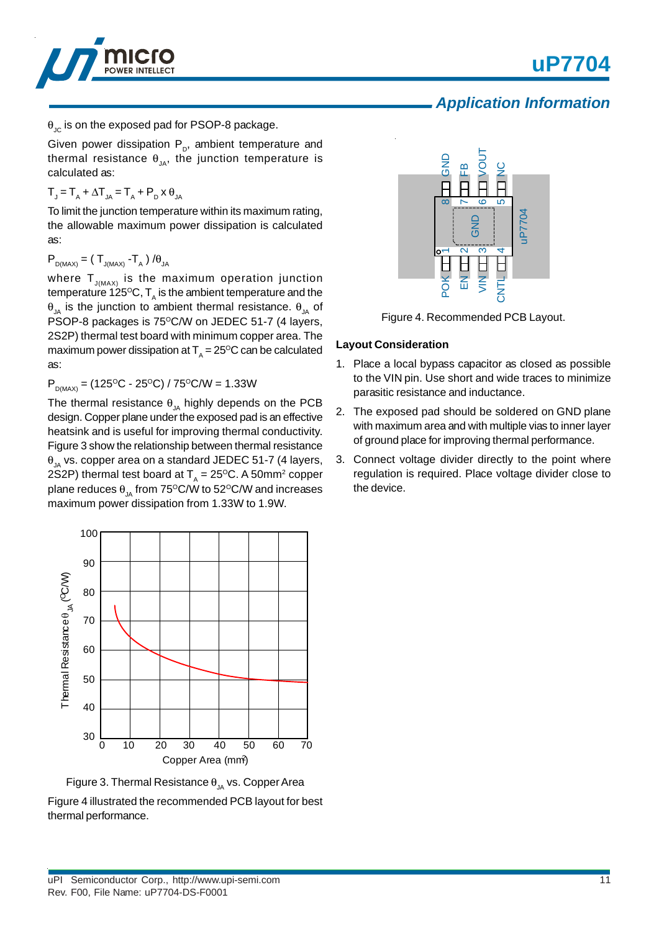



 $\theta_{\text{IC}}$  is on the exposed pad for PSOP-8 package.

Given power dissipation  $P_p$ , ambient temperature and thermal resistance  $\theta_{JA}$ , the junction temperature is calculated as:

 $T_{J} = T_{A} + \Delta T_{JA} = T_{A} + P_{D} \times \theta_{JA}$ 

To limit the junction temperature within its maximum rating, the allowable maximum power dissipation is calculated as:

 $P_{D(MAX)} = (T_{J(MAX)} - T_{A}) / \theta_{JA}$ 

where  ${\sf T}_{_{\sf J(MAX)}}$  is the maximum operation junction temperature 125ºC, T<sub>A</sub> is the ambient temperature and the θ<sub>JA</sub> is the junction to ambient thermal resistance.  $θ_{JA}$  of PSOP-8 packages is 75°C/W on JEDEC 51-7 (4 layers, 2S2P) thermal test board with minimum copper area. The maximum power dissipation at  $T_A = 25^{\circ}C$  can be calculated as:

 $P_{DMAX}$  = (125<sup>o</sup>C - 25<sup>o</sup>C) / 75<sup>o</sup>C/W = 1.33W

The thermal resistance  $\theta_{JA}$  highly depends on the PCB design. Copper plane under the exposed pad is an effective heatsink and is useful for improving thermal conductivity. Figure 3 show the relationship between thermal resistance  $\theta_{14}$  vs. copper area on a standard JEDEC 51-7 (4 layers, 2S2P) thermal test board at  $T_A = 25^{\circ}C$ . A 50mm<sup>2</sup> copper plane reduces  $\theta_{1A}$  from 75°C/W to 52°C/W and increases maximum power dissipation from 1.33W to 1.9W.



Figure 3. Thermal Resistance  $\theta_{1A}$  vs. Copper Area

Figure 4 illustrated the recommended PCB layout for best thermal performance.



Figure 4. Recommended PCB Layout.

### **Layout Consideration**

- 1. Place a local bypass capacitor as closed as possible to the VIN pin. Use short and wide traces to minimize parasitic resistance and inductance.
- 2. The exposed pad should be soldered on GND plane with maximum area and with multiple vias to inner layer of ground place for improving thermal performance.
- 3. Connect voltage divider directly to the point where regulation is required. Place voltage divider close to the device.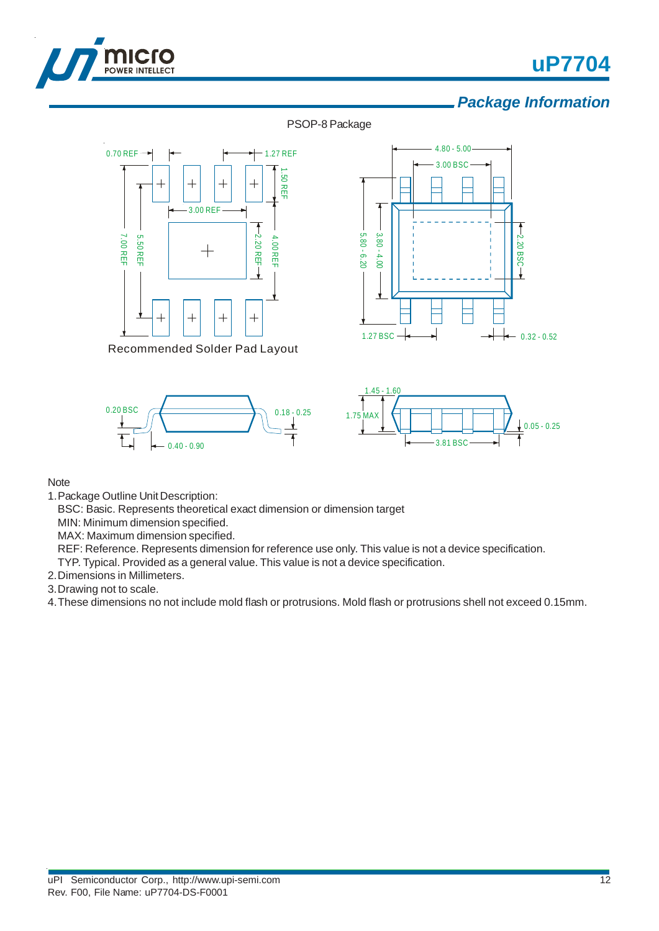

# **uP7704**

# *Package Information*

PSOP-8 Package



Recommended Solder Pad Layout







#### Note

1.Package Outline Unit Description:

BSC: Basic. Represents theoretical exact dimension or dimension target

MIN: Minimum dimension specified.

MAX: Maximum dimension specified.

REF: Reference. Represents dimension for reference use only. This value is not a device specification.

TYP. Typical. Provided as a general value. This value is not a device specification.

2.Dimensions in Millimeters.

3.Drawing not to scale.

4.These dimensions no not include mold flash or protrusions. Mold flash or protrusions shell not exceed 0.15mm.